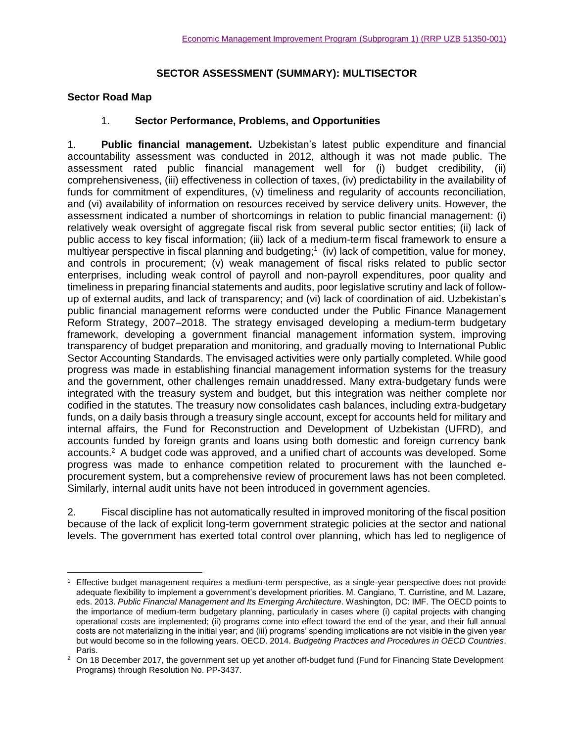### **SECTOR ASSESSMENT (SUMMARY): MULTISECTOR**

#### **Sector Road Map**

### 1. **Sector Performance, Problems, and Opportunities**

1. **Public financial management.** Uzbekistan's latest public expenditure and financial accountability assessment was conducted in 2012, although it was not made public. The assessment rated public financial management well for (i) budget credibility, (ii) comprehensiveness, (iii) effectiveness in collection of taxes, (iv) predictability in the availability of funds for commitment of expenditures, (v) timeliness and regularity of accounts reconciliation, and (vi) availability of information on resources received by service delivery units. However, the assessment indicated a number of shortcomings in relation to public financial management: (i) relatively weak oversight of aggregate fiscal risk from several public sector entities; (ii) lack of public access to key fiscal information; (iii) lack of a medium-term fiscal framework to ensure a multiyear perspective in fiscal planning and budgeting;<sup>1</sup> (iv) lack of competition, value for money, and controls in procurement; (v) weak management of fiscal risks related to public sector enterprises, including weak control of payroll and non-payroll expenditures, poor quality and timeliness in preparing financial statements and audits, poor legislative scrutiny and lack of followup of external audits, and lack of transparency; and (vi) lack of coordination of aid. Uzbekistan's public financial management reforms were conducted under the Public Finance Management Reform Strategy, 2007–2018. The strategy envisaged developing a medium-term budgetary framework, developing a government financial management information system, improving transparency of budget preparation and monitoring, and gradually moving to International Public Sector Accounting Standards. The envisaged activities were only partially completed. While good progress was made in establishing financial management information systems for the treasury and the government, other challenges remain unaddressed. Many extra-budgetary funds were integrated with the treasury system and budget, but this integration was neither complete nor codified in the statutes. The treasury now consolidates cash balances, including extra-budgetary funds, on a daily basis through a treasury single account, except for accounts held for military and internal affairs, the Fund for Reconstruction and Development of Uzbekistan (UFRD), and accounts funded by foreign grants and loans using both domestic and foreign currency bank accounts.<sup>2</sup> A budget code was approved, and a unified chart of accounts was developed. Some progress was made to enhance competition related to procurement with the launched eprocurement system, but a comprehensive review of procurement laws has not been completed. Similarly, internal audit units have not been introduced in government agencies.

2. Fiscal discipline has not automatically resulted in improved monitoring of the fiscal position because of the lack of explicit long-term government strategic policies at the sector and national levels. The government has exerted total control over planning, which has led to negligence of

 $\overline{a}$ Effective budget management requires a medium-term perspective, as a single-year perspective does not provide adequate flexibility to implement a government's development priorities. M. Cangiano, T. Curristine, and M. Lazare, eds. 2013. *Public Financial Management and Its Emerging Architecture*. Washington, DC: IMF. The OECD points to the importance of medium-term budgetary planning, particularly in cases where (i) capital projects with changing operational costs are implemented; (ii) programs come into effect toward the end of the year, and their full annual costs are not materializing in the initial year; and (iii) programs' spending implications are not visible in the given year but would become so in the following years. OECD. 2014. *Budgeting Practices and Procedures in OECD Countries*. Paris.

<sup>&</sup>lt;sup>2</sup> On 18 December 2017, the government set up yet another off-budget fund (Fund for Financing State Development Programs) through Resolution No. PP-3437.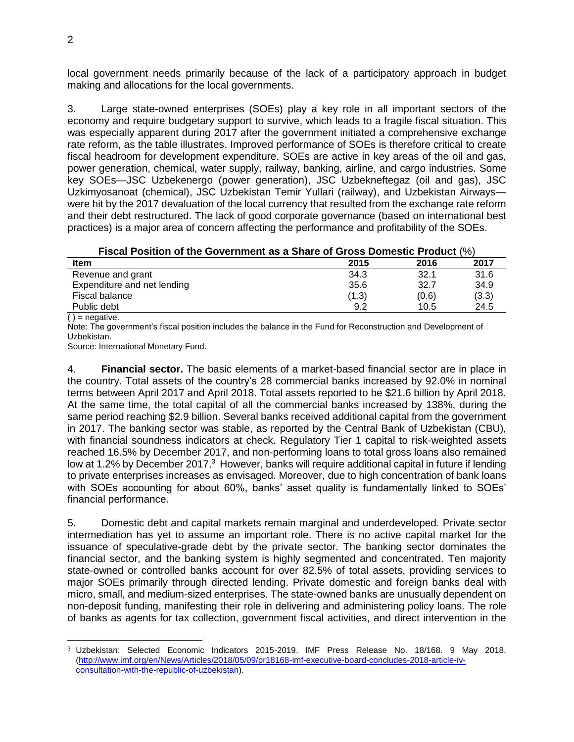local government needs primarily because of the lack of a participatory approach in budget making and allocations for the local governments.

3. Large state-owned enterprises (SOEs) play a key role in all important sectors of the economy and require budgetary support to survive, which leads to a fragile fiscal situation. This was especially apparent during 2017 after the government initiated a comprehensive exchange rate reform, as the table illustrates. Improved performance of SOEs is therefore critical to create fiscal headroom for development expenditure. SOEs are active in key areas of the oil and gas, power generation, chemical, water supply, railway, banking, airline, and cargo industries. Some key SOEs—JSC Uzbekenergo (power generation), JSC Uzbekneftegaz (oil and gas), JSC Uzkimyosanoat (chemical), JSC Uzbekistan Temir Yullari (railway), and Uzbekistan Airways were hit by the 2017 devaluation of the local currency that resulted from the exchange rate reform and their debt restructured. The lack of good corporate governance (based on international best practices) is a major area of concern affecting the performance and profitability of the SOEs.

| Fiscal Position of the Government as a Share of Gross Domestic Product (%) |  |
|----------------------------------------------------------------------------|--|
|----------------------------------------------------------------------------|--|

| <b>Item</b>                 | 2015  | 2016  | 2017  |  |
|-----------------------------|-------|-------|-------|--|
| Revenue and grant           | 34.3  | 32.1  | 31.6  |  |
| Expenditure and net lending | 35.6  | 32.7  | 34.9  |  |
| Fiscal balance              | (1.3) | (0.6) | (3.3) |  |
| Public debt                 | 9.2   | 10.5  | 24.5  |  |
| $\lambda$                   |       |       |       |  |

 $()$  = negative.

Note: The government's fiscal position includes the balance in the Fund for Reconstruction and Development of Uzbekistan.

Source: International Monetary Fund.

4. **Financial sector.** The basic elements of a market-based financial sector are in place in the country. Total assets of the country's 28 commercial banks increased by 92.0% in nominal terms between April 2017 and April 2018. Total assets reported to be \$21.6 billion by April 2018. At the same time, the total capital of all the commercial banks increased by 138%, during the same period reaching \$2.9 billion. Several banks received additional capital from the government in 2017. The banking sector was stable, as reported by the Central Bank of Uzbekistan (CBU), with financial soundness indicators at check. Regulatory Tier 1 capital to risk-weighted assets reached 16.5% by December 2017, and non-performing loans to total gross loans also remained low at 1.2% by December 2017.<sup>3</sup> However, banks will require additional capital in future if lending to private enterprises increases as envisaged. Moreover, due to high concentration of bank loans with SOEs accounting for about 60%, banks' asset quality is fundamentally linked to SOEs' financial performance.

5. Domestic debt and capital markets remain marginal and underdeveloped. Private sector intermediation has yet to assume an important role. There is no active capital market for the issuance of speculative-grade debt by the private sector. The banking sector dominates the financial sector, and the banking system is highly segmented and concentrated. Ten majority state-owned or controlled banks account for over 82.5% of total assets, providing services to major SOEs primarily through directed lending. Private domestic and foreign banks deal with micro, small, and medium-sized enterprises. The state-owned banks are unusually dependent on non-deposit funding, manifesting their role in delivering and administering policy loans. The role of banks as agents for tax collection, government fiscal activities, and direct intervention in the

 $\overline{a}$ <sup>3</sup> Uzbekistan: Selected Economic Indicators 2015-2019. IMF Press Release No. 18/168. 9 May 2018. [\(http://www.imf.org/en/News/Articles/2018/05/09/pr18168-imf-executive-board-concludes-2018-article-iv](http://www.imf.org/en/News/Articles/2018/05/09/pr18168-imf-executive-board-concludes-2018-article-iv-consultation-with-the-republic-of-uzbekistan)[consultation-with-the-republic-of-uzbekistan\)](http://www.imf.org/en/News/Articles/2018/05/09/pr18168-imf-executive-board-concludes-2018-article-iv-consultation-with-the-republic-of-uzbekistan).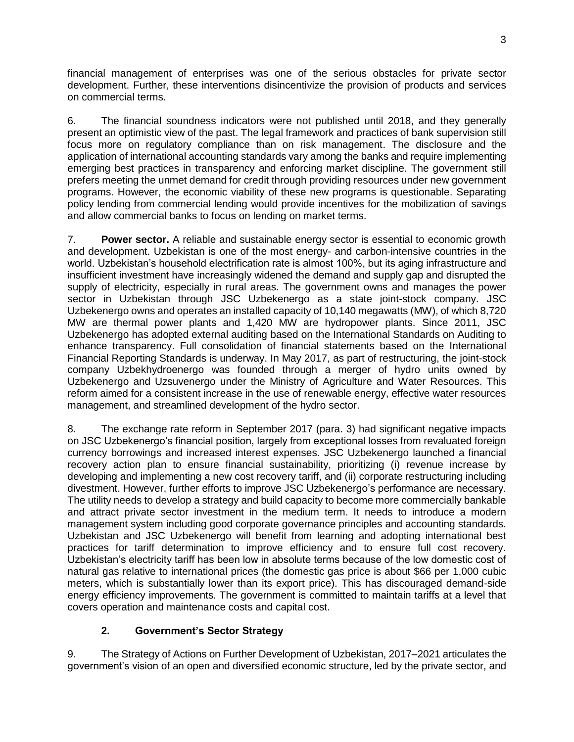financial management of enterprises was one of the serious obstacles for private sector development. Further, these interventions disincentivize the provision of products and services on commercial terms.

6. The financial soundness indicators were not published until 2018, and they generally present an optimistic view of the past. The legal framework and practices of bank supervision still focus more on regulatory compliance than on risk management. The disclosure and the application of international accounting standards vary among the banks and require implementing emerging best practices in transparency and enforcing market discipline. The government still prefers meeting the unmet demand for credit through providing resources under new government programs. However, the economic viability of these new programs is questionable. Separating policy lending from commercial lending would provide incentives for the mobilization of savings and allow commercial banks to focus on lending on market terms.

7. **Power sector.** A reliable and sustainable energy sector is essential to economic growth and development. Uzbekistan is one of the most energy- and carbon-intensive countries in the world. Uzbekistan's household electrification rate is almost 100%, but its aging infrastructure and insufficient investment have increasingly widened the demand and supply gap and disrupted the supply of electricity, especially in rural areas. The government owns and manages the power sector in Uzbekistan through JSC Uzbekenergo as a state joint-stock company. JSC Uzbekenergo owns and operates an installed capacity of 10,140 megawatts (MW), of which 8,720 MW are thermal power plants and 1,420 MW are hydropower plants. Since 2011, JSC Uzbekenergo has adopted external auditing based on the International Standards on Auditing to enhance transparency. Full consolidation of financial statements based on the International Financial Reporting Standards is underway. In May 2017, as part of restructuring, the joint-stock company Uzbekhydroenergo was founded through a merger of hydro units owned by Uzbekenergo and Uzsuvenergo under the Ministry of Agriculture and Water Resources. This reform aimed for a consistent increase in the use of renewable energy, effective water resources management, and streamlined development of the hydro sector.

8. The exchange rate reform in September 2017 (para. 3) had significant negative impacts on JSC Uzbekenergo's financial position, largely from exceptional losses from revaluated foreign currency borrowings and increased interest expenses. JSC Uzbekenergo launched a financial recovery action plan to ensure financial sustainability, prioritizing (i) revenue increase by developing and implementing a new cost recovery tariff, and (ii) corporate restructuring including divestment. However, further efforts to improve JSC Uzbekenergo's performance are necessary. The utility needs to develop a strategy and build capacity to become more commercially bankable and attract private sector investment in the medium term. It needs to introduce a modern management system including good corporate governance principles and accounting standards. Uzbekistan and JSC Uzbekenergo will benefit from learning and adopting international best practices for tariff determination to improve efficiency and to ensure full cost recovery. Uzbekistan's electricity tariff has been low in absolute terms because of the low domestic cost of natural gas relative to international prices (the domestic gas price is about \$66 per 1,000 cubic meters, which is substantially lower than its export price). This has discouraged demand-side energy efficiency improvements. The government is committed to maintain tariffs at a level that covers operation and maintenance costs and capital cost.

## **2. Government's Sector Strategy**

9. The Strategy of Actions on Further Development of Uzbekistan, 2017–2021 articulates the government's vision of an open and diversified economic structure, led by the private sector, and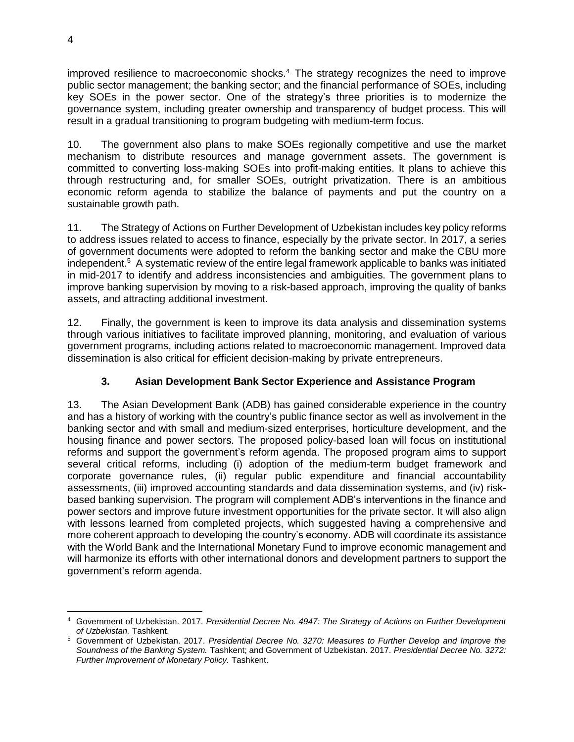improved resilience to macroeconomic shocks.<sup>4</sup> The strategy recognizes the need to improve public sector management; the banking sector; and the financial performance of SOEs, including key SOEs in the power sector. One of the strategy's three priorities is to modernize the governance system, including greater ownership and transparency of budget process. This will result in a gradual transitioning to program budgeting with medium-term focus.

10. The government also plans to make SOEs regionally competitive and use the market mechanism to distribute resources and manage government assets. The government is committed to converting loss-making SOEs into profit-making entities. It plans to achieve this through restructuring and, for smaller SOEs, outright privatization. There is an ambitious economic reform agenda to stabilize the balance of payments and put the country on a sustainable growth path.

11. The Strategy of Actions on Further Development of Uzbekistan includes key policy reforms to address issues related to access to finance, especially by the private sector. In 2017, a series of government documents were adopted to reform the banking sector and make the CBU more independent.<sup>5</sup> A systematic review of the entire legal framework applicable to banks was initiated in mid-2017 to identify and address inconsistencies and ambiguities. The government plans to improve banking supervision by moving to a risk-based approach, improving the quality of banks assets, and attracting additional investment.

12. Finally, the government is keen to improve its data analysis and dissemination systems through various initiatives to facilitate improved planning, monitoring, and evaluation of various government programs, including actions related to macroeconomic management. Improved data dissemination is also critical for efficient decision-making by private entrepreneurs.

# **3. Asian Development Bank Sector Experience and Assistance Program**

13. The Asian Development Bank (ADB) has gained considerable experience in the country and has a history of working with the country's public finance sector as well as involvement in the banking sector and with small and medium-sized enterprises, horticulture development, and the housing finance and power sectors. The proposed policy-based loan will focus on institutional reforms and support the government's reform agenda. The proposed program aims to support several critical reforms, including (i) adoption of the medium-term budget framework and corporate governance rules, (ii) regular public expenditure and financial accountability assessments, (iii) improved accounting standards and data dissemination systems, and (iv) riskbased banking supervision. The program will complement ADB's interventions in the finance and power sectors and improve future investment opportunities for the private sector. It will also align with lessons learned from completed projects, which suggested having a comprehensive and more coherent approach to developing the country's economy. ADB will coordinate its assistance with the World Bank and the International Monetary Fund to improve economic management and will harmonize its efforts with other international donors and development partners to support the government's reform agenda.

 $\overline{a}$ <sup>4</sup> Government of Uzbekistan. 2017. *Presidential Decree No. 4947: The Strategy of Actions on Further Development of Uzbekistan.* Tashkent.

<sup>5</sup> Government of Uzbekistan. 2017. *Presidential Decree No. 3270: Measures to Further Develop and Improve the Soundness of the Banking System.* Tashkent; and Government of Uzbekistan. 2017. *Presidential Decree No. 3272: Further Improvement of Monetary Policy.* Tashkent.